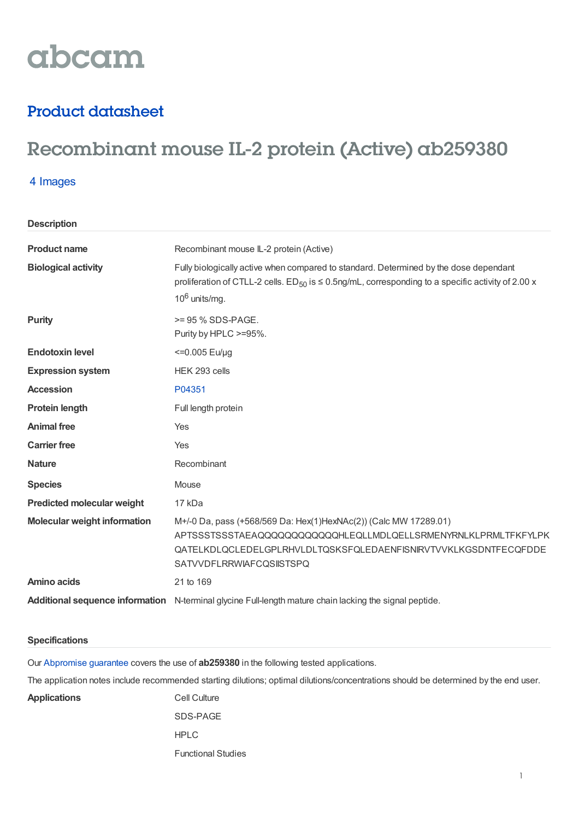# abcam

### Product datasheet

## Recombinant mouse IL-2 protein (Active) ab259380

#### 4 Images

**Description**

| <b>Product name</b>                 | Recombinant mouse IL-2 protein (Active)                                                                                                                                                                                                  |
|-------------------------------------|------------------------------------------------------------------------------------------------------------------------------------------------------------------------------------------------------------------------------------------|
| <b>Biological activity</b>          | Fully biologically active when compared to standard. Determined by the dose dependant<br>proliferation of CTLL-2 cells. ED <sub>50</sub> is $\leq$ 0.5ng/mL, corresponding to a specific activity of 2.00 x<br>$10^6$ units/mg.          |
| <b>Purity</b>                       | $>= 95 \%$ SDS-PAGE.<br>Purity by HPLC >=95%.                                                                                                                                                                                            |
| <b>Endotoxin level</b>              | $\leq$ 0.005 Eu/µg                                                                                                                                                                                                                       |
| <b>Expression system</b>            | HEK 293 cells                                                                                                                                                                                                                            |
| <b>Accession</b>                    | P04351                                                                                                                                                                                                                                   |
| <b>Protein length</b>               | Full length protein                                                                                                                                                                                                                      |
| <b>Animal free</b>                  | Yes                                                                                                                                                                                                                                      |
| <b>Carrier free</b>                 | Yes                                                                                                                                                                                                                                      |
| <b>Nature</b>                       | Recombinant                                                                                                                                                                                                                              |
| <b>Species</b>                      | Mouse                                                                                                                                                                                                                                    |
| <b>Predicted molecular weight</b>   | 17 kDa                                                                                                                                                                                                                                   |
| <b>Molecular weight information</b> | M+/-0 Da, pass (+568/569 Da: Hex(1)HexNAc(2)) (Calc MW 17289.01)<br>APTSSSTSSSTAEAQQQQQQQQQQQQHLEQLLMDLQELLSRMENYRNLKLPRMLTFKFYLPK<br>QATELKDLQCLEDELGPLRHVLDLTQSKSFQLEDAENFISNIRVTVVKLKGSDNTFECQFDDE<br><b>SATVVDFLRRWIAFCQSIISTSPQ</b> |
| Amino acids                         | 21 to 169                                                                                                                                                                                                                                |
|                                     | Additional sequence information N-terminal glycine Full-length mature chain lacking the signal peptide.                                                                                                                                  |

#### **Specifications**

Our [Abpromise](https://www.abcam.com/abpromise) guarantee covers the use of **ab259380** in the following tested applications.

The application notes include recommended starting dilutions; optimal dilutions/concentrations should be determined by the end user.

Applications **Cell Culture** 

SDS-PAGE HPLC Functional Studies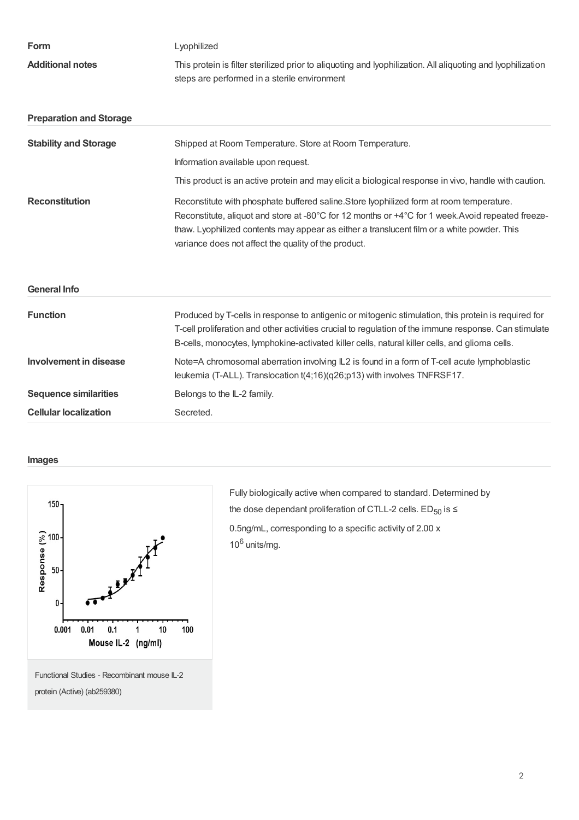| Form                           | Lyophilized                                                                                                                                                                                                                                                                                                                                        |
|--------------------------------|----------------------------------------------------------------------------------------------------------------------------------------------------------------------------------------------------------------------------------------------------------------------------------------------------------------------------------------------------|
| <b>Additional notes</b>        | This protein is filter sterilized prior to aliquoting and lyophilization. All aliquoting and lyophilization<br>steps are performed in a sterile environment                                                                                                                                                                                        |
| <b>Preparation and Storage</b> |                                                                                                                                                                                                                                                                                                                                                    |
| <b>Stability and Storage</b>   | Shipped at Room Temperature. Store at Room Temperature.                                                                                                                                                                                                                                                                                            |
|                                | Information available upon request.                                                                                                                                                                                                                                                                                                                |
|                                | This product is an active protein and may elicit a biological response in vivo, handle with caution.                                                                                                                                                                                                                                               |
| <b>Reconstitution</b>          | Reconstitute with phosphate buffered saline. Store lyophilized form at room temperature.<br>Reconstitute, aliquot and store at -80°C for 12 months or +4°C for 1 week.Avoid repeated freeze-<br>thaw. Lyophilized contents may appear as either a translucent film or a white powder. This<br>variance does not affect the quality of the product. |
| <b>General Info</b>            |                                                                                                                                                                                                                                                                                                                                                    |
| <b>Function</b>                | Produced by T-cells in response to antigenic or mitogenic stimulation, this protein is required for<br>T-cell proliferation and other activities crucial to regulation of the immune response. Can stimulate<br>B-cells, monocytes, lymphokine-activated killer cells, natural killer cells, and glioma cells.                                     |
| <b>Involvement in disease</b>  | Note=A chromosomal aberration involving IL2 is found in a form of T-cell acute lymphoblastic<br>leukemia (T-ALL). Translocation t(4;16)(q26;p13) with involves TNFRSF17.                                                                                                                                                                           |
| <b>Sequence similarities</b>   | Belongs to the IL-2 family.                                                                                                                                                                                                                                                                                                                        |
| <b>Cellular localization</b>   | Secreted.                                                                                                                                                                                                                                                                                                                                          |

#### **Images**



Fully biologically active when compared to standard. Determined by the dose dependant proliferation of CTLL-2 cells.  $ED_{50}$  is  $\leq$ 0.5ng/mL, corresponding to a specific activity of 2.00 x  $10^6$  units/mg.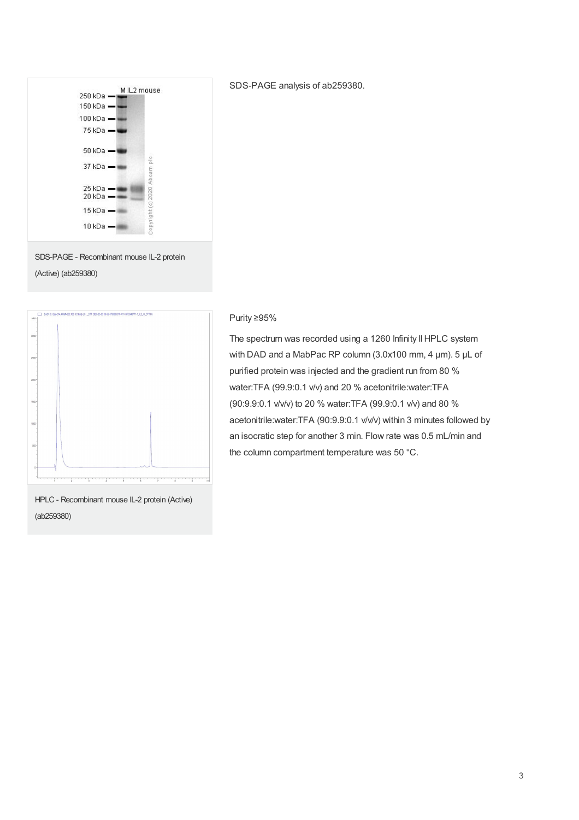

(Active) (ab259380)



SDS-PAGE analysis of ab259380.

#### Purity ≥95%

The spectrum was recorded using a 1260 Infinity II HPLC system with DAD and a MabPac RP column (3.0x100 mm, 4 µm). 5 µL of purified protein was injected and the gradient run from 80 % water:TFA (99.9:0.1 v/v) and 20 % acetonitrile:water:TFA (90:9.9:0.1 v/v/v) to 20 % water:TFA (99.9:0.1 v/v) and 80 % acetonitrile:water:TFA (90:9.9:0.1 v/v/v) within 3 minutes followed by an isocratic step for another 3 min. Flow rate was 0.5 mL/min and the column compartment temperature was 50 °C.